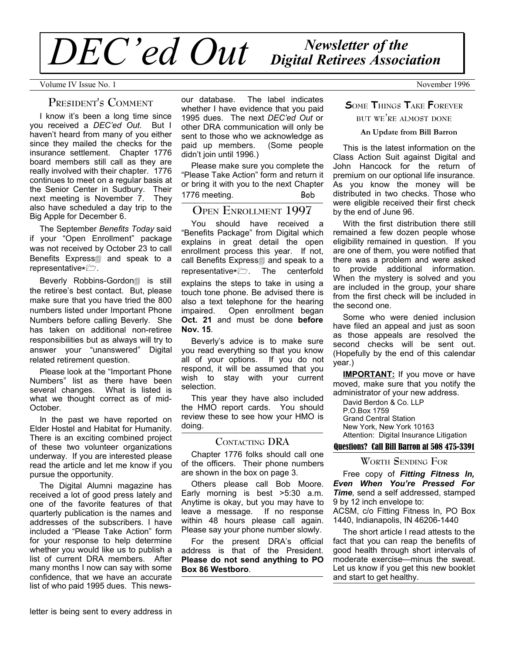# *Newsletter of the DEC'ed Out Digital Retirees Association*

Volume IV Issue No. 1 November 1996

# **PRESIDENT'<sup>S</sup> COMMENT**

I know it's been a long time since you received a *DEC'ed Out*. But I haven't heard from many of you either since they mailed the checks for the insurance settlement. Chapter 1776 board members still call as they are really involved with their chapter. 1776 continues to meet on a regular basis at the Senior Center in Sudbury. Their next meeting is November 7. They also have scheduled a day trip to the Big Apple for December 6.

The September *Benefits Today* said if your "Open Enrollment" package was not received by October 23 to call Benefits Express<sub>1</sub> and speak to a representative\* $\triangledown$ .

Beverly Robbins-Gordon1 is still the retiree's best contact. But, please make sure that you have tried the 800 numbers listed under Important Phone Numbers before calling Beverly. She has taken on additional non-retiree responsibilities but as always will try to answer your "unanswered" Digital related retirement question.

Please look at the "Important Phone Numbers" list as there have been several changes. What is listed is what we thought correct as of mid-October.

In the past we have reported on Elder Hostel and Habitat for Humanity. There is an exciting combined project of these two volunteer organizations underway. If you are interested please read the article and let me know if you pursue the opportunity.

The Digital Alumni magazine has received a lot of good press lately and one of the favorite features of that quarterly publication is the names and addresses of the subscribers. I have included a "Please Take Action" form for your response to help determine whether you would like us to publish a list of current DRA members. After many months I now can say with some confidence, that we have an accurate list of who paid 1995 dues. This news-

our database. The label indicates whether I have evidence that you paid 1995 dues. The next *DEC'ed Out* or other DRA communication will only be sent to those who we acknowledge as paid up members. (Some people didn't join until 1996.)

Please make sure you complete the "Please Take Action" form and return it or bring it with you to the next Chapter 1776 meeting. Bob

# **OPEN ENROLLMENT 1997**

You should have received a "Benefits Package" from Digital which explains in great detail the open enrollment process this year. If not, call Benefits Express<sub>1</sub> and speak to a representative\* $\triangleright$ . The centerfold explains the steps to take in using a touch tone phone. Be advised there is also a text telephone for the hearing impaired. Open enrollment began **Oct. 21** and must be done **before Nov. 15**.

Beverly's advice is to make sure you read everything so that you know all of your options. If you do not respond, it will be assumed that you wish to stay with your current selection.

This year they have also included the HMO report cards. You should review these to see how your HMO is doing.

## **CONTACTING DRA**

Chapter 1776 folks should call one of the officers. Their phone numbers are shown in the box on page 3.

Others please call Bob Moore. Early morning is best >5:30 a.m. Anytime is okay, but you may have to leave a message. If no response within 48 hours please call again. Please say your phone number slowly.

For the present DRA's official address is that of the President. **Please do not send anything to PO Box 86 Westboro**.

# **SOME THINGS TAKE FOREVER**

## **BUT WE'RE ALMOST DONE**

#### **An Update from Bill Barron**

This is the latest information on the Class Action Suit against Digital and John Hancock for the return of premium on our optional life insurance. As you know the money will be distributed in two checks. Those who were eligible received their first check by the end of June 96.

With the first distribution there still remained a few dozen people whose eligibility remained in question. If you are one of them, you were notified that there was a problem and were asked to provide additional information. When the mystery is solved and you are included in the group, your share from the first check will be included in the second one.

Some who were denied inclusion have filed an appeal and just as soon as those appeals are resolved the second checks will be sent out. (Hopefully by the end of this calendar year.)

**IMPORTANT:** If you move or have moved, make sure that you notify the administrator of your new address.

David Berdon & Co. LLP P.O.Box 1759 Grand Central Station New York, New York 10163 Attention: Digital Insurance Litigation

#### Questions? Call Bill Barron at 508 475-3391

## **WORTH SENDING FOR**

Free copy of *Fitting Fitness In, Even When You're Pressed For Time,* send a self addressed, stamped 9 by 12 inch envelope to: ACSM, c/o Fitting Fitness In, PO Box

1440, Indianapolis, IN 46206-1440

The short article I read attests to the fact that you can reap the benefits of good health through short intervals of moderate exercise—minus the sweat. Let us know if you get this new booklet and start to get healthy.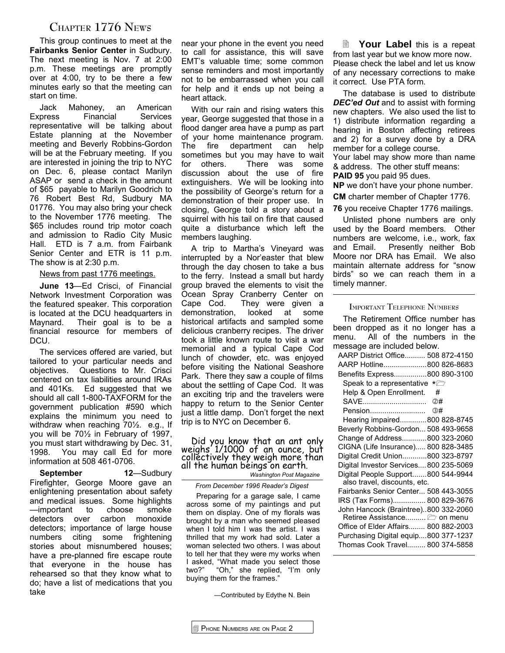# **CHAPTER 1776 NEWS**

This group continues to meet at the **Fairbanks Senior Center** in Sudbury. The next meeting is Nov. 7 at 2:00 p.m. These meetings are promptly over at 4:00, try to be there a few minutes early so that the meeting can start on time.

Jack Mahoney, an American Express Financial Services representative will be talking about Estate planning at the November meeting and Beverly Robbins-Gordon will be at the February meeting. If you are interested in joining the trip to NYC on Dec. 6, please contact Marilyn ASAP or send a check in the amount of \$65 payable to Marilyn Goodrich to 76 Robert Best Rd, Sudbury MA 01776. You may also bring your check to the November 1776 meeting. The \$65 includes round trip motor coach and admission to Radio City Music Hall. ETD is 7 a.m. from Fairbank Senior Center and ETR is 11 p.m. The show is at 2:30 p.m.

News from past 1776 meetings.

**June 13**—Ed Crisci, of Financial Network Investment Corporation was the featured speaker. This corporation is located at the DCU headquarters in Maynard. Their goal is to be a financial resource for members of DCU.

The services offered are varied, but tailored to your particular needs and objectives. Questions to Mr. Crisci centered on tax liabilities around IRAs and 401Ks. Ed suggested that we should all call 1-800-TAXFORM for the government publication #590 which explains the minimum you need to withdraw when reaching 70½. e.g., If you will be 70½ in February of 1997, you must start withdrawing by Dec. 31, 1998. You may call Ed for more information at 508 461-0706.

**September 12**—Sudbury Firefighter, George Moore gave an enlightening presentation about safety and medical issues. Some highlights —important to choose smoke detectors over carbon monoxide detectors; importance of large house numbers citing some frightening stories about misnumbered houses; have a pre-planned fire escape route that everyone in the house has rehearsed so that they know what to do; have a list of medications that you take

near your phone in the event you need to call for assistance, this will save EMT's valuable time; some common sense reminders and most importantly not to be embarrassed when you call for help and it ends up not being a heart attack.

With our rain and rising waters this year, George suggested that those in a flood danger area have a pump as part of your home maintenance program. The fire department can help sometimes but you may have to wait for others. There was some discussion about the use of fire extinguishers. We will be looking into the possibility of George's return for a demonstration of their proper use. In closing, George told a story about a squirrel with his tail on fire that caused quite a disturbance which left the members laughing.

A trip to Martha's Vineyard was interrupted by a Nor'easter that blew through the day chosen to take a bus to the ferry. Instead a small but hardy group braved the elements to visit the Ocean Spray Cranberry Center on Cape Cod. They were given a demonstration, looked at some historical artifacts and sampled some delicious cranberry recipes. The driver took a little known route to visit a war memorial and a typical Cape Cod lunch of chowder, etc. was enjoyed before visiting the National Seashore Park. There they saw a couple of films about the settling of Cape Cod. It was an exciting trip and the travelers were happy to return to the Senior Center just a little damp. Don't forget the next trip is to NYC on December 6.

Did you know that an ant only weighs 1/1000 of an ounce, but collectively they weigh more than all the human beings on earth.

*Washington Post Magazine*

*From December 1996 Reader's Digest*

Preparing for a garage sale, I came across some of my paintings and put them on display. One of my florals was brought by a man who seemed pleased when I told him I was the artist. I was thrilled that my work had sold. Later a woman selected two others. I was about to tell her that they were my works when I asked, "What made you select those two?" "Oh," she replied, "I'm only buying them for the frames."

—Contributed by Edythe N. Bein

2 **Your Label** this is a repeat from last year but we know more now. Please check the label and let us know of any necessary corrections to make it correct. Use PTA form.

The database is used to distribute *DEC'ed Out* and to assist with forming new chapters. We also used the list to 1) distribute information regarding a hearing in Boston affecting retirees and 2) for a survey done by a DRA member for a college course. Your label may show more than name & address. The other stuff means:

**PAID 95** you paid 95 dues.

**NP** we don't have your phone number.

**CM** charter member of Chapter 1776.

**76** you receive Chapter 1776 mailings.

Unlisted phone numbers are only used by the Board members. Other numbers are welcome, i.e., work, fax and Email. Presently neither Bob Moore nor DRA has Email. We also maintain alternate address for "snow birds" so we can reach them in a timely manner.

#### **IMPORTANT TELEPHONE NUMBERS**

The Retirement Office number has been dropped as it no longer has a menu. All of the numbers in the message are included below. AARP District Office.......... 508 872-4150 AARP Hotline.....................800 826-8683 Benefits Express................800 890-3100 Speak to a representative  $* \n\mathbb{Z}$ Help & Open Enrollment. # SAVE............................... '# Pension........................... ƒ# Hearing impaired.............800 828-8745 Beverly Robbins-Gordon... 508 493-9658 Change of Address............800 323-2060 CIGNA (Life Insurance)..... 800 828-3485 Digital Credit Union............800 323-8797 Digital Investor Services....800 235-5069 Digital People Support.......800 544-9944 also travel, discounts, etc. Fairbanks Senior Center... 508 443-3055 IRS (Tax Forms)................ 800 829-3676 John Hancock (Braintree)..800 332-2060 Retiree Assistance...........  $\Box$  on menu Office of Elder Affairs........ 800 882-2003 Purchasing Digital equip....800 377-1237 Thomas Cook Travel......... 800 374-5858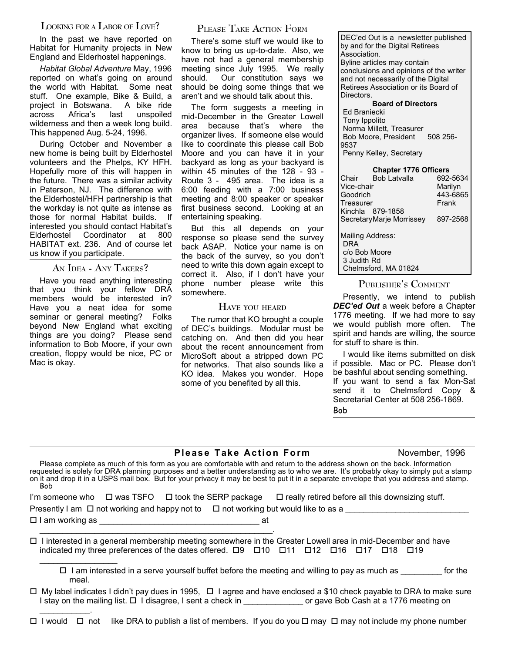# **LOOKING FOR <sup>A</sup> LABOR OF LOVE?**

In the past we have reported on Habitat for Humanity projects in New England and Elderhostel happenings.

*Habitat Global Adventure* May, 1996 reported on what's going on around the world with Habitat. Some neat stuff. One example, Bike & Build, a project in Botswana. A bike ride across Africa's last unspoiled wilderness and then a week long build. This happened Aug. 5-24, 1996.

During October and November a new home is being built by Elderhostel volunteers and the Phelps, KY HFH. Hopefully more of this will happen in the future. There was a similar activity in Paterson, NJ. The difference with the Elderhostel/HFH partnership is that the workday is not quite as intense as those for normal Habitat builds. If interested you should contact Habitat's Elderhostel Coordinator at 800 HABITAT ext. 236. And of course let us know if you participate.

**AN IDEA - ANY TAKERS?**

Have you read anything interesting that you think your fellow DRA members would be interested in? Have you a neat idea for some seminar or general meeting? Folks beyond New England what exciting things are you doing? Please send information to Bob Moore, if your own creation, floppy would be nice, PC or Mac is okay.

 $\mathcal{L}_\text{max}$  and  $\mathcal{L}_\text{max}$ 

# **PLEASE TAKE ACTION FORM**

There's some stuff we would like to know to bring us up-to-date. Also, we have not had a general membership meeting since July 1995. We really should. Our constitution says we should be doing some things that we aren't and we should talk about this.

The form suggests a meeting in mid-December in the Greater Lowell area because that's where the organizer lives. If someone else would like to coordinate this please call Bob Moore and you can have it in your backyard as long as your backyard is within 45 minutes of the 128 - 93 - Route 3 - 495 area. The idea is a 6:00 feeding with a 7:00 business meeting and 8:00 speaker or speaker first business second. Looking at an entertaining speaking.

But this all depends on your response so please send the survey back ASAP. Notice your name is on the back of the survey, so you don't need to write this down again except to correct it. Also, if I don't have your phone number please write this somewhere.

#### **HAVE YOU HEARD**

The rumor that KO brought a couple of DEC's buildings. Modular must be catching on. And then did you hear about the recent announcement from MicroSoft about a stripped down PC for networks. That also sounds like a KO idea. Makes you wonder. Hope some of you benefited by all this.

DEC'ed Out is a newsletter published by and for the Digital Retirees Association. Byline articles may contain conclusions and opinions of the writer and not necessarily of the Digital Retirees Association or its Board of Directors. **Board of Directors** Ed Braniecki

Tony Ippolito Norma Millett, Treasurer Bob Moore, President 508 256-9537 Penny Kelley, Secretary

| <b>Chapter 1776 Officers</b> |                          |          |  |  |  |  |  |  |
|------------------------------|--------------------------|----------|--|--|--|--|--|--|
| Chair                        | <b>Bob Latvalla</b>      | 692-5634 |  |  |  |  |  |  |
| Vice-chair                   |                          | Marilyn  |  |  |  |  |  |  |
| Goodrich                     |                          | 443-6865 |  |  |  |  |  |  |
| Treasurer                    |                          | Frank    |  |  |  |  |  |  |
|                              | Kinchla 879-1858         |          |  |  |  |  |  |  |
|                              | SecretaryMarie Morrissey | 897-2568 |  |  |  |  |  |  |
| Mailing Address:             |                          |          |  |  |  |  |  |  |
| <b>DRA</b>                   |                          |          |  |  |  |  |  |  |
| c/o Bob Moore                |                          |          |  |  |  |  |  |  |
| 3 Judith Rd                  |                          |          |  |  |  |  |  |  |
|                              | Chelmsford, MA 01824     |          |  |  |  |  |  |  |

## **PUBLISHER'<sup>S</sup> COMMENT**

Presently, we intend to publish *DEC'ed Out* a week before a Chapter 1776 meeting. If we had more to say we would publish more often. The spirit and hands are willing, the source for stuff to share is thin.

I would like items submitted on disk if possible. Mac or PC. Please don't be bashful about sending something. If you want to send a fax Mon-Sat send it to Chelmsford Copy & Secretarial Center at 508 256-1869. Bob

## **Please Take Action Form** November, 1996

Please complete as much of this form as you are comfortable with and return to the address shown on the back. Information requested is solely for DRA planning purposes and a better understanding as to who we are. It's probably okay to simply put a stamp on it and drop it in a USPS mail box. But for your privacy it may be best to put it in a separate envelope that you address and stamp. Bob

|                        |  |    |                                                                                              | I'm someone who $\Box$ was TSFO $\Box$ took the SERP package $\Box$ really retired before all this downsizing stuff. |
|------------------------|--|----|----------------------------------------------------------------------------------------------|----------------------------------------------------------------------------------------------------------------------|
|                        |  |    | Presently I am $\Box$ not working and happy not to $\Box$ not working but would like to as a |                                                                                                                      |
| $\Box$ I am working as |  | at |                                                                                              |                                                                                                                      |
|                        |  |    |                                                                                              |                                                                                                                      |

#### $\Box$  I interested in a general membership meeting somewhere in the Greater Lowell area in mid-December and have indicated my three preferences of the dates offered.  $\Box 9$   $\Box 10$   $\Box 11$   $\Box 12$   $\Box 16$   $\Box 17$   $\Box 18$   $\Box 19$  $\overline{\phantom{a}}$  , where  $\overline{\phantom{a}}$

 $\Box$  I am interested in a serve yourself buffet before the meeting and willing to pay as much as \_\_\_\_\_\_\_\_ for the meal.

 $\Box$  My label indicates I didn't pay dues in 1995,  $\Box$  I agree and have enclosed a \$10 check payable to DRA to make sure I stay on the mailing list.  $\Box$  I disagree, I sent a check in  $\Box$  or gave Bob Cash at a 1776 meeting on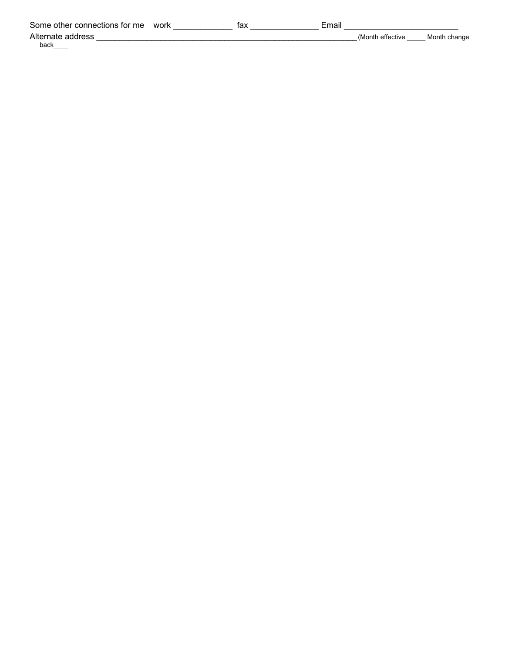| Some other connections for me | work | tax | Email |                 |              |
|-------------------------------|------|-----|-------|-----------------|--------------|
| Alternate address             |      |     |       | Month effective | Month change |
| back                          |      |     |       |                 |              |